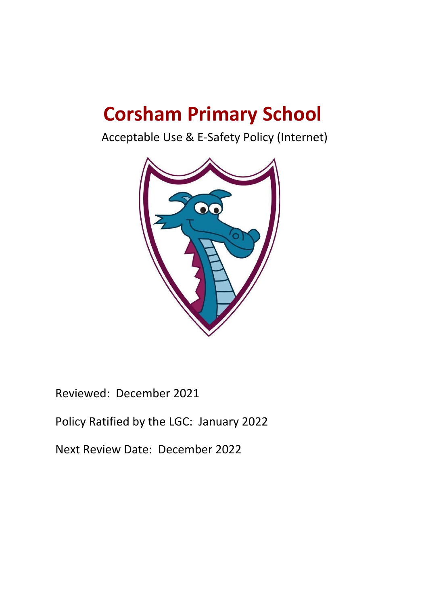# **Corsham Primary School**

Acceptable Use & E-Safety Policy (Internet)



Reviewed: December 2021

# Policy Ratified by the LGC: January 2022

Next Review Date: December 2022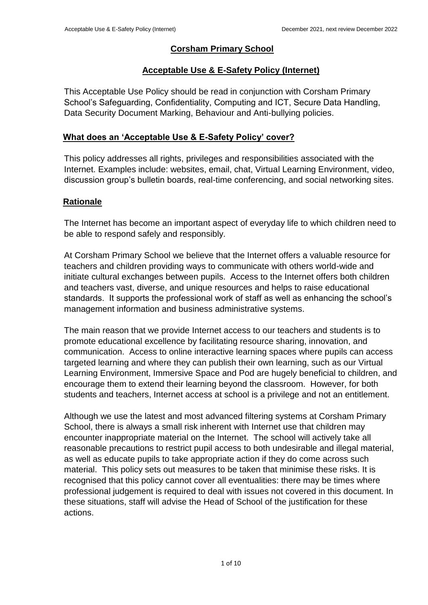# **Corsham Primary School**

# **Acceptable Use & E-Safety Policy (Internet)**

This Acceptable Use Policy should be read in conjunction with Corsham Primary School's Safeguarding, Confidentiality, Computing and ICT, Secure Data Handling, Data Security Document Marking, Behaviour and Anti-bullying policies.

# **What does an 'Acceptable Use & E-Safety Policy' cover?**

This policy addresses all rights, privileges and responsibilities associated with the Internet. Examples include: websites, email, chat, Virtual Learning Environment, video, discussion group's bulletin boards, real-time conferencing, and social networking sites.

# **Rationale**

The Internet has become an important aspect of everyday life to which children need to be able to respond safely and responsibly.

At Corsham Primary School we believe that the Internet offers a valuable resource for teachers and children providing ways to communicate with others world-wide and initiate cultural exchanges between pupils. Access to the Internet offers both children and teachers vast, diverse, and unique resources and helps to raise educational standards. It supports the professional work of staff as well as enhancing the school's management information and business administrative systems.

The main reason that we provide Internet access to our teachers and students is to promote educational excellence by facilitating resource sharing, innovation, and communication. Access to online interactive learning spaces where pupils can access targeted learning and where they can publish their own learning, such as our Virtual Learning Environment, Immersive Space and Pod are hugely beneficial to children, and encourage them to extend their learning beyond the classroom. However, for both students and teachers, Internet access at school is a privilege and not an entitlement.

Although we use the latest and most advanced filtering systems at Corsham Primary School, there is always a small risk inherent with Internet use that children may encounter inappropriate material on the Internet. The school will actively take all reasonable precautions to restrict pupil access to both undesirable and illegal material, as well as educate pupils to take appropriate action if they do come across such material. This policy sets out measures to be taken that minimise these risks. It is recognised that this policy cannot cover all eventualities: there may be times where professional judgement is required to deal with issues not covered in this document. In these situations, staff will advise the Head of School of the justification for these actions.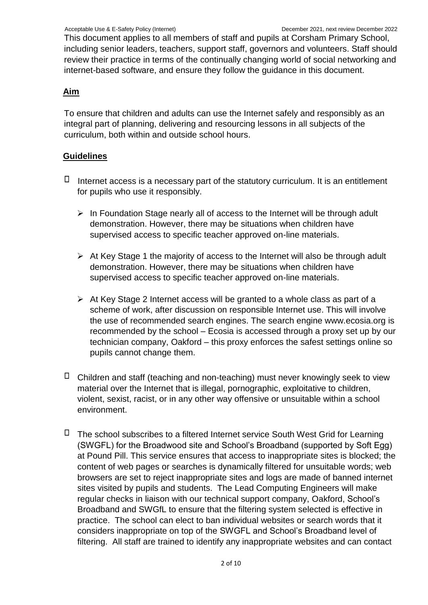This document applies to all members of staff and pupils at Corsham Primary School, including senior leaders, teachers, support staff, governors and volunteers. Staff should review their practice in terms of the continually changing world of social networking and internet-based software, and ensure they follow the guidance in this document.

# **Aim**

To ensure that children and adults can use the Internet safely and responsibly as an integral part of planning, delivering and resourcing lessons in all subjects of the curriculum, both within and outside school hours.

# **Guidelines**

- $\Box$  Internet access is a necessary part of the statutory curriculum. It is an entitlement for pupils who use it responsibly.
	- $\triangleright$  In Foundation Stage nearly all of access to the Internet will be through adult demonstration. However, there may be situations when children have supervised access to specific teacher approved on-line materials.
	- ➢ At Key Stage 1 the majority of access to the Internet will also be through adult demonstration. However, there may be situations when children have supervised access to specific teacher approved on-line materials.
	- ➢ At Key Stage 2 Internet access will be granted to a whole class as part of a scheme of work, after discussion on responsible Internet use. This will involve the use of recommended search engines. The search engine www.ecosia.or[g](http://www.google.co.uk/) [is](http://www.google.co.uk/) recommended by the school – Ecosia is accessed through a proxy set up by our technician company, Oakford – this proxy enforces the safest settings online so pupils cannot change them.
- $\Box$  Children and staff (teaching and non-teaching) must never knowingly seek to view material over the Internet that is illegal, pornographic, exploitative to children, violent, sexist, racist, or in any other way offensive or unsuitable within a school environment.
- $\Box$  The school subscribes to a filtered Internet service South West Grid for Learning (SWGFL) for the Broadwood site and School's Broadband (supported by Soft Egg) at Pound Pill. This service ensures that access to inappropriate sites is blocked; the content of web pages or searches is dynamically filtered for unsuitable words; web browsers are set to reject inappropriate sites and logs are made of banned internet sites visited by pupils and students. The Lead Computing Engineers will make regular checks in liaison with our technical support company, Oakford, School's Broadband and SWGfL to ensure that the filtering system selected is effective in practice. The school can elect to ban individual websites or search words that it considers inappropriate on top of the SWGFL and School's Broadband level of filtering. All staff are trained to identify any inappropriate websites and can contact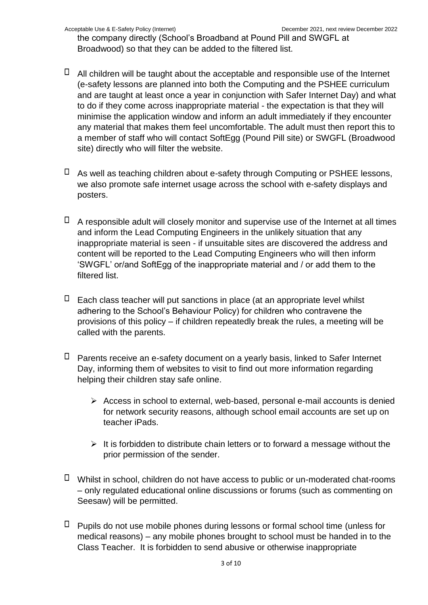the company directly (School's Broadband at Pound Pill and SWGFL at Broadwood) so that they can be added to the filtered list.

- $\Box$  All children will be taught about the acceptable and responsible use of the Internet (e-safety lessons are planned into both the Computing and the PSHEE curriculum and are taught at least once a year in conjunction with Safer Internet Day) and what to do if they come across inappropriate material - the expectation is that they will minimise the application window and inform an adult immediately if they encounter any material that makes them feel uncomfortable. The adult must then report this to a member of staff who will contact SoftEgg (Pound Pill site) or SWGFL (Broadwood site) directly who will filter the website.
- $\Box$  As well as teaching children about e-safety through Computing or PSHEE lessons, we also promote safe internet usage across the school with e-safety displays and posters.
- $\Box$  A responsible adult will closely monitor and supervise use of the Internet at all times and inform the Lead Computing Engineers in the unlikely situation that any inappropriate material is seen - if unsuitable sites are discovered the address and content will be reported to the Lead Computing Engineers who will then inform 'SWGFL' or/and SoftEgg of the inappropriate material and / or add them to the filtered list.
- $\Box$  Each class teacher will put sanctions in place (at an appropriate level whilst adhering to the School's Behaviour Policy) for children who contravene the provisions of this policy – if children repeatedly break the rules, a meeting will be called with the parents.
- $\Box$  Parents receive an e-safety document on a vearly basis, linked to Safer Internet Day, informing them of websites to visit to find out more information regarding helping their children stay safe online.
	- ➢ Access in school to external, web-based, personal e-mail accounts is denied for network security reasons, although school email accounts are set up on teacher iPads.
	- $\triangleright$  It is forbidden to distribute chain letters or to forward a message without the prior permission of the sender.
- $\Box$  Whilst in school, children do not have access to public or un-moderated chat-rooms – only regulated educational online discussions or forums (such as commenting on Seesaw) will be permitted.
- $\Box$  Pupils do not use mobile phones during lessons or formal school time (unless for medical reasons) – any mobile phones brought to school must be handed in to the Class Teacher. It is forbidden to send abusive or otherwise inappropriate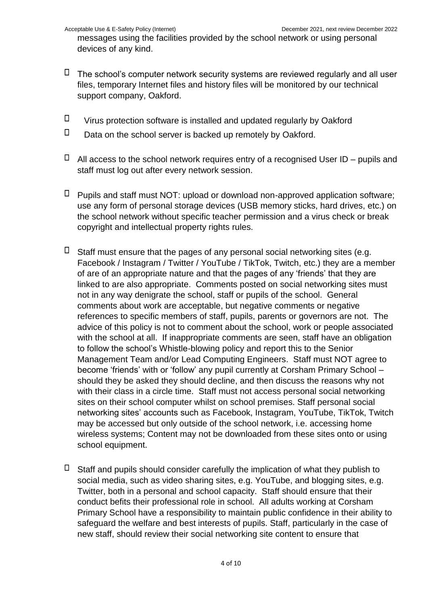messages using the facilities provided by the school network or using personal devices of any kind.

- $\Box$  The school's computer network security systems are reviewed regularly and all user files, temporary Internet files and history files will be monitored by our technical support company, Oakford.
- $\Box$ Virus protection software is installed and updated regularly by Oakford
- $\Box$ Data on the school server is backed up remotely by Oakford.
- $\Box$  All access to the school network requires entry of a recognised User ID pupils and staff must log out after every network session.
- $\Box$  Pupils and staff must NOT: upload or download non-approved application software; use any form of personal storage devices (USB memory sticks, hard drives, etc.) on the school network without specific teacher permission and a virus check or break copyright and intellectual property rights rules.
- $\Box$  Staff must ensure that the pages of any personal social networking sites (e.g. Facebook / Instagram / Twitter / YouTube / TikTok, Twitch, etc.) they are a member of are of an appropriate nature and that the pages of any 'friends' that they are linked to are also appropriate. Comments posted on social networking sites must not in any way denigrate the school, staff or pupils of the school. General comments about work are acceptable, but negative comments or negative references to specific members of staff, pupils, parents or governors are not. The advice of this policy is not to comment about the school, work or people associated with the school at all. If inappropriate comments are seen, staff have an obligation to follow the school's Whistle-blowing policy and report this to the Senior Management Team and/or Lead Computing Engineers. Staff must NOT agree to become 'friends' with or 'follow' any pupil currently at Corsham Primary School – should they be asked they should decline, and then discuss the reasons why not with their class in a circle time. Staff must not access personal social networking sites on their school computer whilst on school premises. Staff personal social networking sites' accounts such as Facebook, Instagram, YouTube, TikTok, Twitch may be accessed but only outside of the school network, i.e. accessing home wireless systems; Content may not be downloaded from these sites onto or using school equipment.
- $\Box$  Staff and pupils should consider carefully the implication of what they publish to social media, such as video sharing sites, e.g. YouTube, and blogging sites, e.g. Twitter, both in a personal and school capacity. Staff should ensure that their conduct befits their professional role in school. All adults working at Corsham Primary School have a responsibility to maintain public confidence in their ability to safeguard the welfare and best interests of pupils. Staff, particularly in the case of new staff, should review their social networking site content to ensure that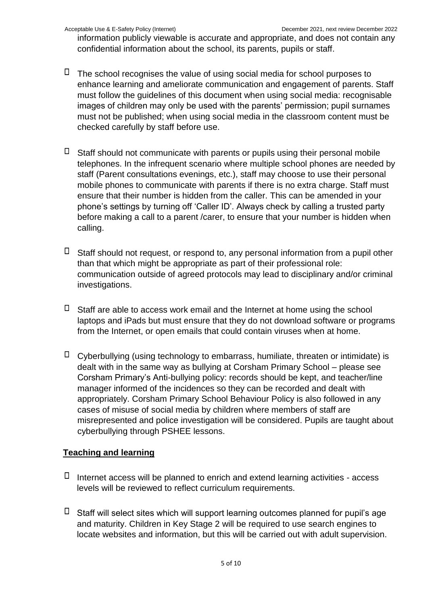information publicly viewable is accurate and appropriate, and does not contain any confidential information about the school, its parents, pupils or staff.

- $\Box$  The school recognises the value of using social media for school purposes to enhance learning and ameliorate communication and engagement of parents. Staff must follow the guidelines of this document when using social media: recognisable images of children may only be used with the parents' permission; pupil surnames must not be published; when using social media in the classroom content must be checked carefully by staff before use.
- $\Box$  Staff should not communicate with parents or pupils using their personal mobile telephones. In the infrequent scenario where multiple school phones are needed by staff (Parent consultations evenings, etc.), staff may choose to use their personal mobile phones to communicate with parents if there is no extra charge. Staff must ensure that their number is hidden from the caller. This can be amended in your phone's settings by turning off 'Caller ID'. Always check by calling a trusted party before making a call to a parent /carer, to ensure that your number is hidden when calling.
- $\Box$  Staff should not request, or respond to, any personal information from a pupil other than that which might be appropriate as part of their professional role: communication outside of agreed protocols may lead to disciplinary and/or criminal investigations.
- $\Box$  Staff are able to access work email and the Internet at home using the school laptops and iPads but must ensure that they do not download software or programs from the Internet, or open emails that could contain viruses when at home.
- $\Box$  Cyberbullying (using technology to embarrass, humiliate, threaten or intimidate) is dealt with in the same way as bullying at Corsham Primary School – please see Corsham Primary's Anti-bullying policy: records should be kept, and teacher/line manager informed of the incidences so they can be recorded and dealt with appropriately. Corsham Primary School Behaviour Policy is also followed in any cases of misuse of social media by children where members of staff are misrepresented and police investigation will be considered. Pupils are taught about cyberbullying through PSHEE lessons.

# **Teaching and learning**

- $\Box$  Internet access will be planned to enrich and extend learning activities access levels will be reviewed to reflect curriculum requirements.
- $\Box$  Staff will select sites which will support learning outcomes planned for pupil's age and maturity. Children in Key Stage 2 will be required to use search engines to locate websites and information, but this will be carried out with adult supervision.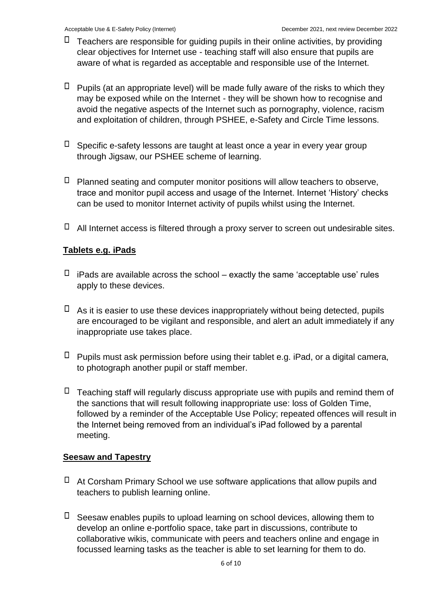- $\Box$  Teachers are responsible for guiding pupils in their online activities, by providing clear objectives for Internet use - teaching staff will also ensure that pupils are aware of what is regarded as acceptable and responsible use of the Internet.
- $\Box$  Pupils (at an appropriate level) will be made fully aware of the risks to which they may be exposed while on the Internet - they will be shown how to recognise and avoid the negative aspects of the Internet such as pornography, violence, racism and exploitation of children, through PSHEE, e-Safety and Circle Time lessons.
- $\Box$  Specific e-safety lessons are taught at least once a year in every year group through Jigsaw, our PSHEE scheme of learning.
- $\Box$  Planned seating and computer monitor positions will allow teachers to observe, trace and monitor pupil access and usage of the Internet. Internet 'History' checks can be used to monitor Internet activity of pupils whilst using the Internet.
- $\Box$  All Internet access is filtered through a proxy server to screen out undesirable sites.

# **Tablets e.g. iPads**

- $\Box$  iPads are available across the school exactly the same 'acceptable use' rules apply to these devices.
- $\Box$  As it is easier to use these devices inappropriately without being detected, pupils are encouraged to be vigilant and responsible, and alert an adult immediately if any inappropriate use takes place.
- $\Box$  Pupils must ask permission before using their tablet e.g. iPad, or a digital camera, to photograph another pupil or staff member.
- $\Box$  Teaching staff will regularly discuss appropriate use with pupils and remind them of the sanctions that will result following inappropriate use: loss of Golden Time, followed by a reminder of the Acceptable Use Policy; repeated offences will result in the Internet being removed from an individual's iPad followed by a parental meeting.

#### **Seesaw and Tapestry**

- $\Box$  At Corsham Primary School we use software applications that allow pupils and teachers to publish learning online.
- $\Box$  Seesaw enables pupils to upload learning on school devices, allowing them to develop an online e-portfolio space, take part in discussions, contribute to collaborative wikis, communicate with peers and teachers online and engage in focussed learning tasks as the teacher is able to set learning for them to do.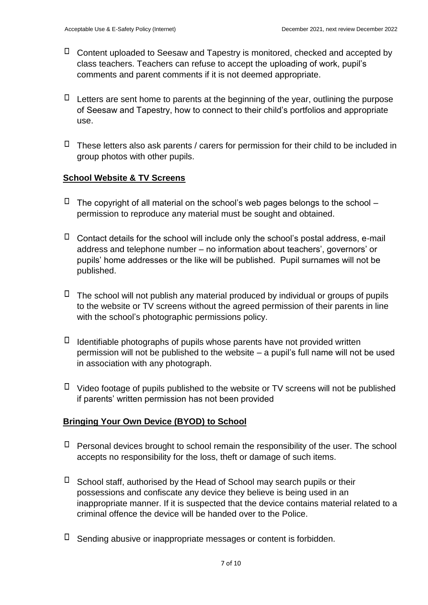- $\Box$  Content uploaded to Seesaw and Tapestry is monitored, checked and accepted by class teachers. Teachers can refuse to accept the uploading of work, pupil's comments and parent comments if it is not deemed appropriate.
- $\Box$  Letters are sent home to parents at the beginning of the year, outlining the purpose of Seesaw and Tapestry, how to connect to their child's portfolios and appropriate use.
- $\Box$  These letters also ask parents / carers for permission for their child to be included in group photos with other pupils.

# **School Website & TV Screens**

- $\Box$  The copyright of all material on the school's web pages belongs to the school permission to reproduce any material must be sought and obtained.
- $\Box$  Contact details for the school will include only the school's postal address, e-mail address and telephone number – no information about teachers', governors' or pupils' home addresses or the like will be published. Pupil surnames will not be published.
- $\Box$  The school will not publish any material produced by individual or groups of pupils to the website or TV screens without the agreed permission of their parents in line with the school's photographic permissions policy.
- $\Box$  Identifiable photographs of pupils whose parents have not provided written permission will not be published to the website – a pupil's full name will not be used in association with any photograph.
- $\Box$  Video footage of pupils published to the website or TV screens will not be published if parents' written permission has not been provided

# **Bringing Your Own Device (BYOD) to School**

- $\Box$  Personal devices brought to school remain the responsibility of the user. The school accepts no responsibility for the loss, theft or damage of such items.
- $\Box$  School staff, authorised by the Head of School may search pupils or their possessions and confiscate any device they believe is being used in an inappropriate manner. If it is suspected that the device contains material related to a criminal offence the device will be handed over to the Police.
- $\Box$  Sending abusive or inappropriate messages or content is forbidden.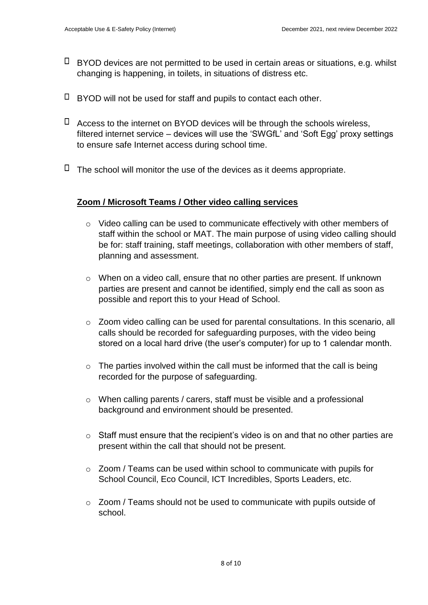- $\Box$  BYOD devices are not permitted to be used in certain areas or situations, e.g. whilst changing is happening, in toilets, in situations of distress etc.
- $\Box$  BYOD will not be used for staff and pupils to contact each other.
- $\Box$  Access to the internet on BYOD devices will be through the schools wireless, filtered internet service – devices will use the 'SWGfL' and 'Soft Egg' proxy settings to ensure safe Internet access during school time.
- $\Box$  The school will monitor the use of the devices as it deems appropriate.

#### **Zoom / Microsoft Teams / Other video calling services**

- o Video calling can be used to communicate effectively with other members of staff within the school or MAT. The main purpose of using video calling should be for: staff training, staff meetings, collaboration with other members of staff, planning and assessment.
- o When on a video call, ensure that no other parties are present. If unknown parties are present and cannot be identified, simply end the call as soon as possible and report this to your Head of School.
- o Zoom video calling can be used for parental consultations. In this scenario, all calls should be recorded for safeguarding purposes, with the video being stored on a local hard drive (the user's computer) for up to 1 calendar month.
- $\circ$  The parties involved within the call must be informed that the call is being recorded for the purpose of safeguarding.
- o When calling parents / carers, staff must be visible and a professional background and environment should be presented.
- $\circ$  Staff must ensure that the recipient's video is on and that no other parties are present within the call that should not be present.
- o Zoom / Teams can be used within school to communicate with pupils for School Council, Eco Council, ICT Incredibles, Sports Leaders, etc.
- $\circ$  Zoom / Teams should not be used to communicate with pupils outside of school.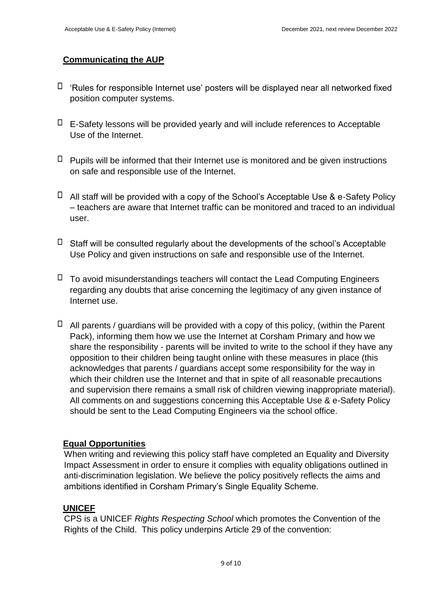# **Communicating the AUP**

- $\Box$  'Rules for responsible Internet use' posters will be displayed near all networked fixed position computer systems.
- $\Box$  E-Safety lessons will be provided yearly and will include references to Acceptable Use of the Internet.
- $\Box$  Pupils will be informed that their Internet use is monitored and be given instructions on safe and responsible use of the Internet.
- $\Box$  All staff will be provided with a copy of the School's Acceptable Use & e-Safety Policy – teachers are aware that Internet traffic can be monitored and traced to an individual user.
- $\Box$  Staff will be consulted regularly about the developments of the school's Acceptable Use Policy and given instructions on safe and responsible use of the Internet.
- $\Box$  To avoid misunderstandings teachers will contact the Lead Computing Engineers regarding any doubts that arise concerning the legitimacy of any given instance of Internet use.
- $\Box$  All parents / guardians will be provided with a copy of this policy, (within the Parent Pack), informing them how we use the Internet at Corsham Primary and how we share the responsibility - parents will be invited to write to the school if they have any opposition to their children being taught online with these measures in place (this acknowledges that parents / guardians accept some responsibility for the way in which their children use the Internet and that in spite of all reasonable precautions and supervision there remains a small risk of children viewing inappropriate material). All comments on and suggestions concerning this Acceptable Use & e-Safety Policy should be sent to the Lead Computing Engineers via the school office.

# **Equal Opportunities**

When writing and reviewing this policy staff have completed an Equality and Diversity Impact Assessment in order to ensure it complies with equality obligations outlined in anti-discrimination legislation. We believe the policy positively reflects the aims and ambitions identified in Corsham Primary's Single Equality Scheme.

# **UNICEF**

CPS is a UNICEF *Rights Respecting School* which promotes the Convention of the Rights of the Child. This policy underpins Article 29 of the convention: